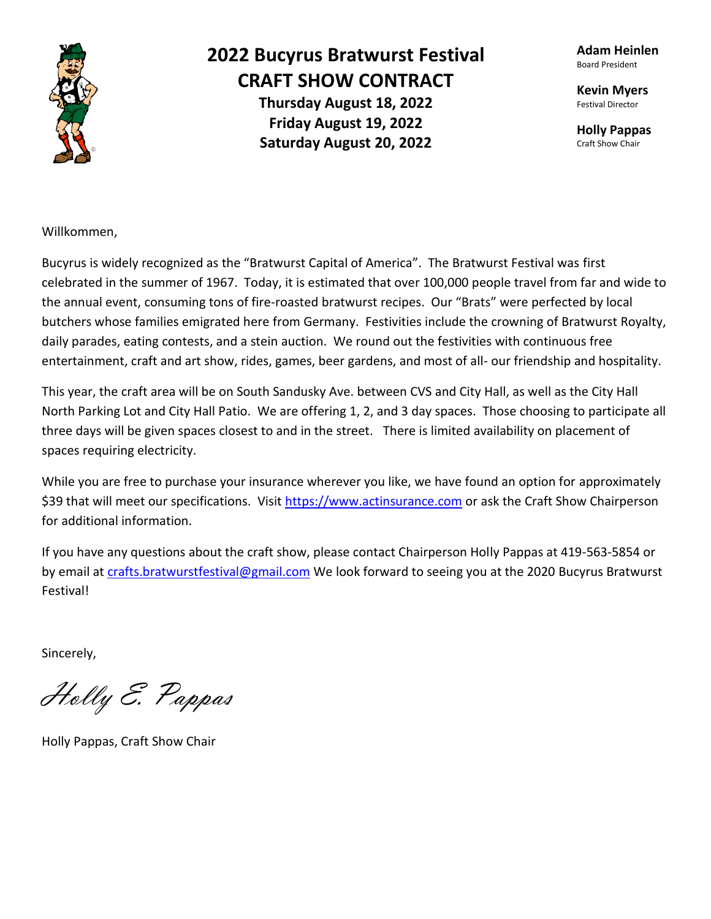

## **2022 Bucyrus Bratwurst Festival CRAFT SHOW CONTRACT Thursday August 18, 2022 Friday August 19, 2022 Saturday August 20, 2022**

**Adam Heinlen** Board President

**Kevin Myers** Festival Director

**Holly Pappas** Craft Show Chair

Willkommen,

Bucyrus is widely recognized as the "Bratwurst Capital of America". The Bratwurst Festival was first celebrated in the summer of 1967. Today, it is estimated that over 100,000 people travel from far and wide to the annual event, consuming tons of fire-roasted bratwurst recipes. Our "Brats" were perfected by local butchers whose families emigrated here from Germany. Festivities include the crowning of Bratwurst Royalty, daily parades, eating contests, and a stein auction. We round out the festivities with continuous free entertainment, craft and art show, rides, games, beer gardens, and most of all- our friendship and hospitality.

This year, the craft area will be on South Sandusky Ave. between CVS and City Hall, as well as the City Hall North Parking Lot and City Hall Patio. We are offering 1, 2, and 3 day spaces. Those choosing to participate all three days will be given spaces closest to and in the street. There is limited availability on placement of spaces requiring electricity.

While you are free to purchase your insurance wherever you like, we have found an option for approximately \$39 that will meet our specifications. Visit [https://www.actinsurance.com](https://www.actinsurance.com/) or ask the Craft Show Chairperson for additional information.

If you have any questions about the craft show, please contact Chairperson Holly Pappas at 419-563-5854 or by email at [crafts.bratwurstfestival@gmail.com](mailto:crafts.bratwurstfestival@gmail.com) We look forward to seeing you at the 2020 Bucyrus Bratwurst Festival!

Sincerely,

Holly E. Pappas

Holly Pappas, Craft Show Chair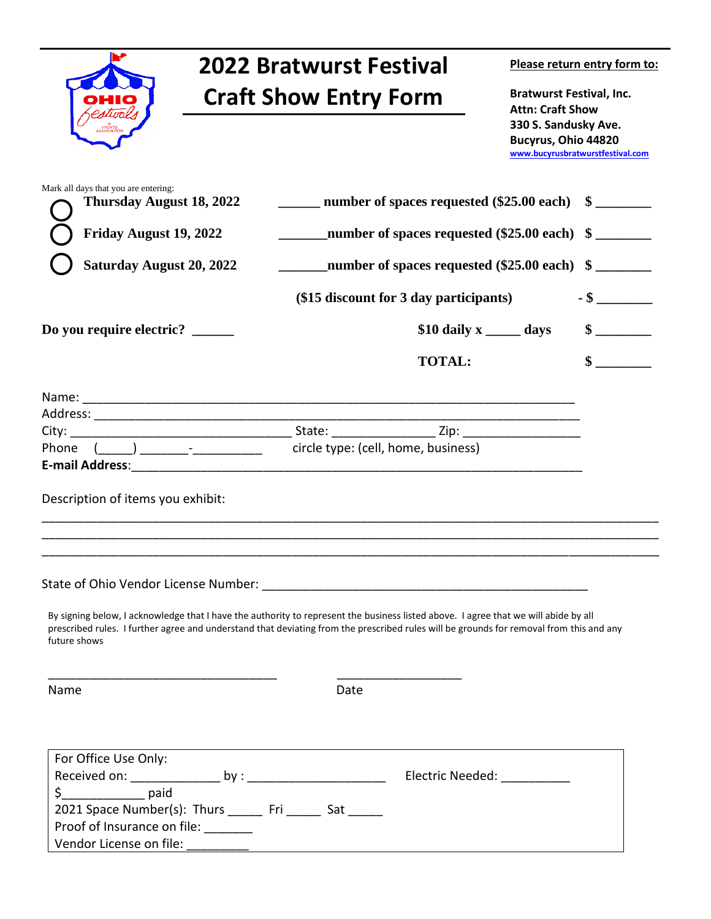| <b>2022 Bratwurst Festival</b><br><b>Craft Show Entry Form</b>                                                                                                                                                                   |                                                                                                                                                                                                                                                                                | Please return entry form to:<br><b>Bratwurst Festival, Inc.</b><br><b>Attn: Craft Show</b><br>330 S. Sandusky Ave.<br><b>Bucyrus, Ohio 44820</b><br>www.bucyrusbratwurstfestival.com |                           |
|----------------------------------------------------------------------------------------------------------------------------------------------------------------------------------------------------------------------------------|--------------------------------------------------------------------------------------------------------------------------------------------------------------------------------------------------------------------------------------------------------------------------------|--------------------------------------------------------------------------------------------------------------------------------------------------------------------------------------|---------------------------|
|                                                                                                                                                                                                                                  |                                                                                                                                                                                                                                                                                |                                                                                                                                                                                      |                           |
| Friday August 19, 2022<br>number of spaces requested (\$25.00 each) \$                                                                                                                                                           |                                                                                                                                                                                                                                                                                |                                                                                                                                                                                      |                           |
| <b>Saturday August 20, 2022</b>                                                                                                                                                                                                  | number of spaces requested (\$25.00 each) \$                                                                                                                                                                                                                                   |                                                                                                                                                                                      |                           |
|                                                                                                                                                                                                                                  | (\$15 discount for 3 day participants)                                                                                                                                                                                                                                         |                                                                                                                                                                                      | $-$ \$                    |
| Do you require electric?                                                                                                                                                                                                         | \$10 daily $x \_\_\_\_$ days                                                                                                                                                                                                                                                   |                                                                                                                                                                                      | $\sim$                    |
|                                                                                                                                                                                                                                  | <b>TOTAL:</b>                                                                                                                                                                                                                                                                  |                                                                                                                                                                                      | $\boldsymbol{\mathsf{s}}$ |
| Phone (1, 2) 2022 [10] circle type: (cell, home, business)<br>E-mail Address: 2008. 2009. 2010. 2010. 2010. 2010. 2010. 2010. 2011. 2012. 2014. 2016. 2017. 2018. 2019. 201<br>Description of items you exhibit:<br>future shows | By signing below, I acknowledge that I have the authority to represent the business listed above. I agree that we will abide by all<br>prescribed rules. I further agree and understand that deviating from the prescribed rules will be grounds for removal from this and any |                                                                                                                                                                                      |                           |
| Name                                                                                                                                                                                                                             | Date                                                                                                                                                                                                                                                                           |                                                                                                                                                                                      |                           |
| For Office Use Only:<br>$\zeta$ paid<br>2021 Space Number(s): Thurs _______ Fri _______ Sat ______<br>Proof of Insurance on file: ______                                                                                         |                                                                                                                                                                                                                                                                                |                                                                                                                                                                                      |                           |